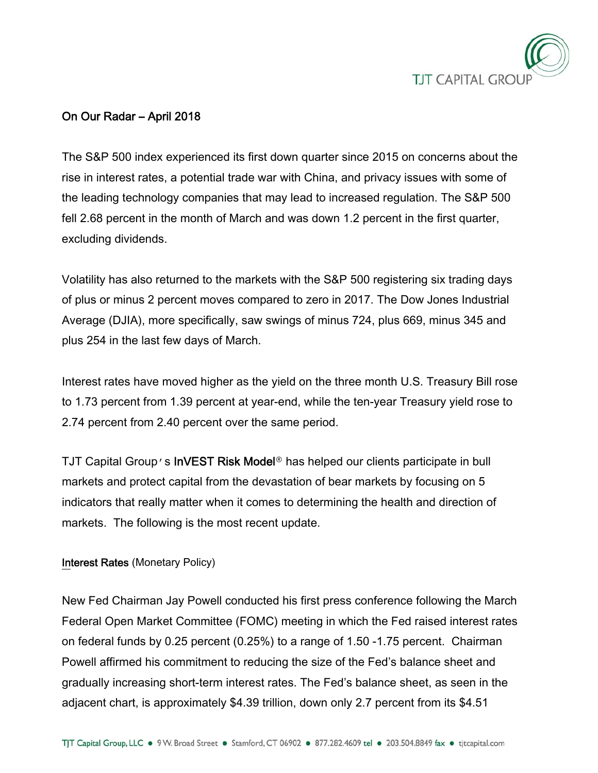

# On Our Radar – April 2018

The S&P 500 index experienced its first down quarter since 2015 on concerns about the rise in interest rates, a potential trade war with China, and privacy issues with some of the leading technology companies that may lead to increased regulation. The S&P 500 fell 2.68 percent in the month of March and was down 1.2 percent in the first quarter, excluding dividends.

Volatility has also returned to the markets with the S&P 500 registering six trading days of plus or minus 2 percent moves compared to zero in 2017. The Dow Jones Industrial Average (DJIA), more specifically, saw swings of minus 724, plus 669, minus 345 and plus 254 in the last few days of March.

Interest rates have moved higher as the yield on the three month U.S. Treasury Bill rose to 1.73 percent from 1.39 percent at year-end, while the ten-year Treasury yield rose to 2.74 percent from 2.40 percent over the same period.

TJT Capital Group's InVEST Risk Model**®** has helped our clients participate in bull markets and protect capital from the devastation of bear markets by focusing on 5 indicators that really matter when it comes to determining the health and direction of markets. The following is the most recent update.

## Interest Rates (Monetary Policy)

New Fed Chairman Jay Powell conducted his first press conference following the March Federal Open Market Committee (FOMC) meeting in which the Fed raised interest rates on federal funds by 0.25 percent (0.25%) to a range of 1.50 -1.75 percent. Chairman Powell affirmed his commitment to reducing the size of the Fed's balance sheet and gradually increasing short-term interest rates. The Fed's balance sheet, as seen in the adjacent chart, is approximately \$4.39 trillion, down only 2.7 percent from its \$4.51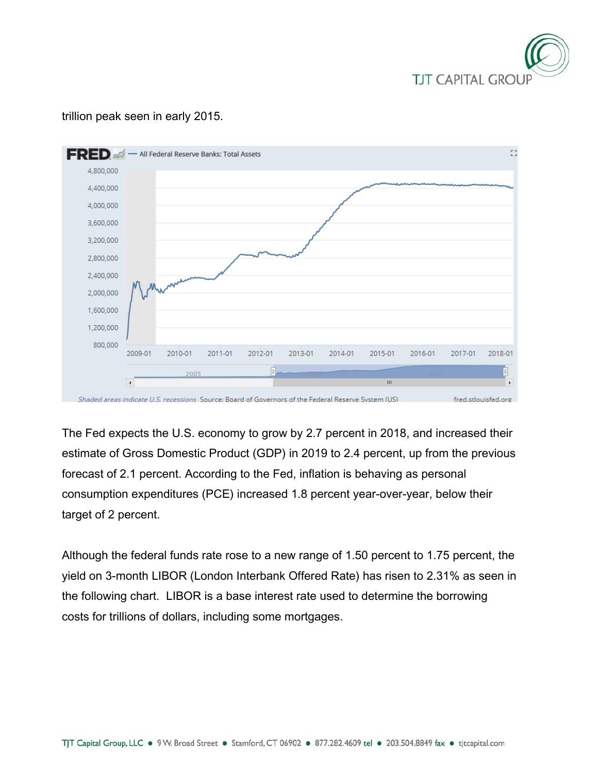

#### $\overline{\text{FRED}}$   $\mathscr{A}$  - All Federal Reserve Banks: Total Assets Ē. 4.800.000 4,400,000 4,000,000 3.600.000 3.200.000 2,800,000 2,400,000 2,000,000 1,600,000 1,200,000 800,000 2009-01 2010-01 2011-01 2012-01 2013-01 2014-01 2015-01 2016-01 2017-01 2018-01 2005  $\mathbf{I}$ Ш  $\mathbf{r}$ Shaded areas indicate U.S. recessions Source: Board of Governors of the Federal Reserve System (US) fred.stlouisfed.org

trillion peak seen in early 2015.

The Fed expects the U.S. economy to grow by 2.7 percent in 2018, and increased their estimate of Gross Domestic Product (GDP) in 2019 to 2.4 percent, up from the previous forecast of 2.1 percent. According to the Fed, inflation is behaving as personal consumption expenditures (PCE) increased 1.8 percent year-over-year, below their target of 2 percent.

Although the federal funds rate rose to a new range of 1.50 percent to 1.75 percent, the yield on 3-month LIBOR (London Interbank Offered Rate) has risen to 2.31% as seen in the following chart. LIBOR is a base interest rate used to determine the borrowing costs for trillions of dollars, including some mortgages.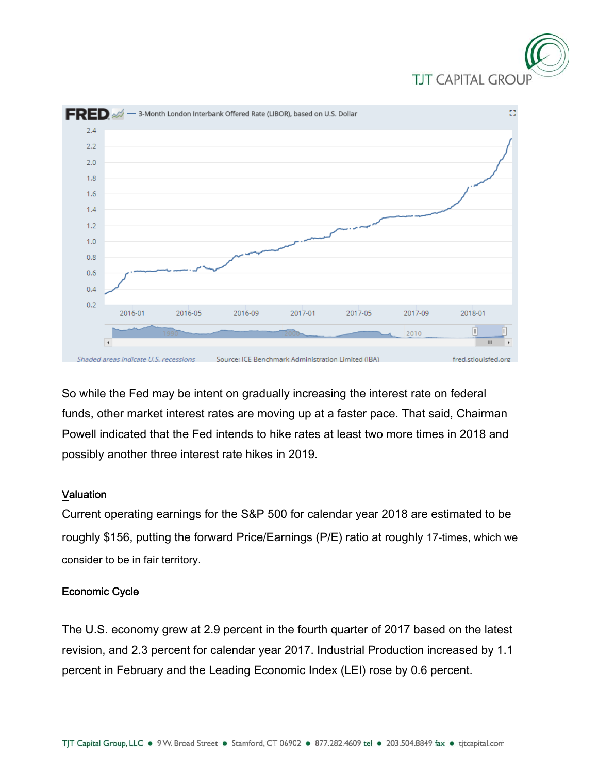



So while the Fed may be intent on gradually increasing the interest rate on federal funds, other market interest rates are moving up at a faster pace. That said, Chairman Powell indicated that the Fed intends to hike rates at least two more times in 2018 and possibly another three interest rate hikes in 2019.

### Valuation

Current operating earnings for the S&P 500 for calendar year 2018 are estimated to be roughly \$156, putting the forward Price/Earnings (P/E) ratio at roughly 17-times, which we consider to be in fair territory.

### Economic Cycle

The U.S. economy grew at 2.9 percent in the fourth quarter of 2017 based on the latest revision, and 2.3 percent for calendar year 2017. Industrial Production increased by 1.1 percent in February and the Leading Economic Index (LEI) rose by 0.6 percent.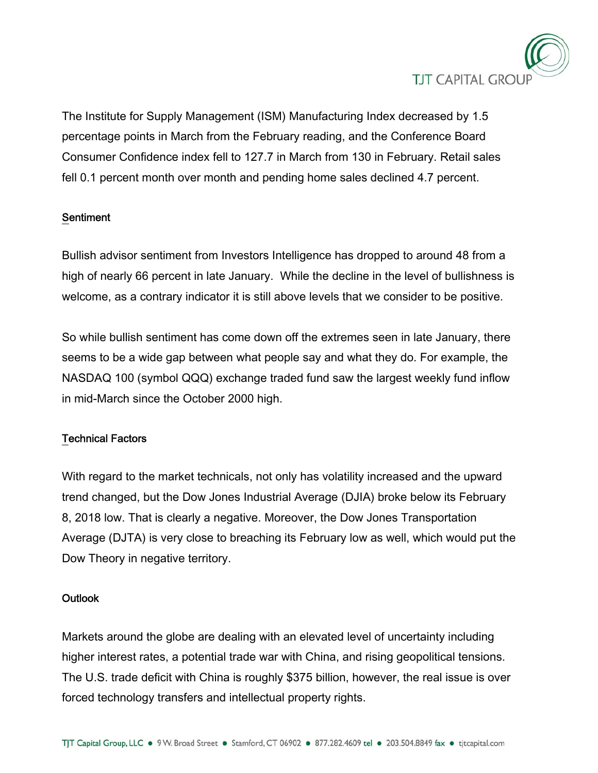

The Institute for Supply Management (ISM) Manufacturing Index decreased by 1.5 percentage points in March from the February reading, and the Conference Board Consumer Confidence index fell to 127.7 in March from 130 in February. Retail sales fell 0.1 percent month over month and pending home sales declined 4.7 percent.

## **Sentiment**

Bullish advisor sentiment from Investors Intelligence has dropped to around 48 from a high of nearly 66 percent in late January. While the decline in the level of bullishness is welcome, as a contrary indicator it is still above levels that we consider to be positive.

So while bullish sentiment has come down off the extremes seen in late January, there seems to be a wide gap between what people say and what they do. For example, the NASDAQ 100 (symbol QQQ) exchange traded fund saw the largest weekly fund inflow in mid-March since the October 2000 high.

## Technical Factors

With regard to the market technicals, not only has volatility increased and the upward trend changed, but the Dow Jones Industrial Average (DJIA) broke below its February 8, 2018 low. That is clearly a negative. Moreover, the Dow Jones Transportation Average (DJTA) is very close to breaching its February low as well, which would put the Dow Theory in negative territory.

### **Outlook**

Markets around the globe are dealing with an elevated level of uncertainty including higher interest rates, a potential trade war with China, and rising geopolitical tensions. The U.S. trade deficit with China is roughly \$375 billion, however, the real issue is over forced technology transfers and intellectual property rights.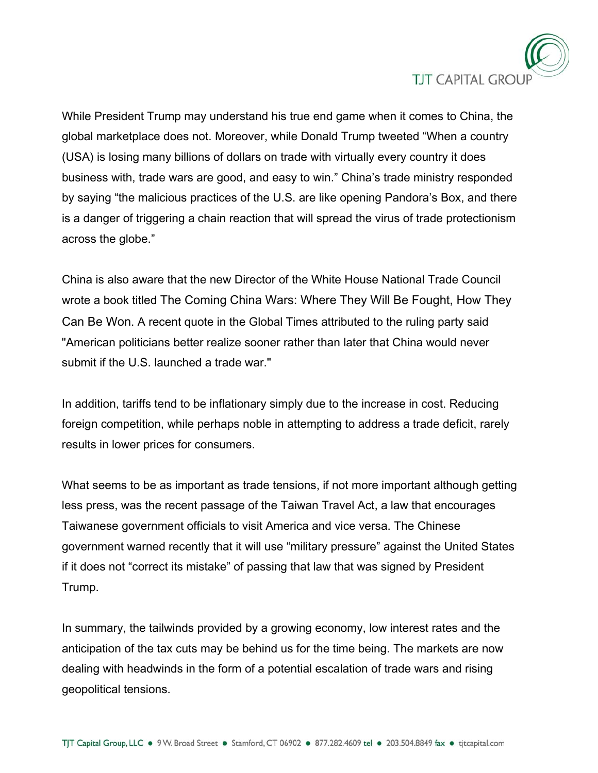

While President Trump may understand his true end game when it comes to China, the global marketplace does not. Moreover, while Donald Trump tweeted "When a country (USA) is losing many billions of dollars on trade with virtually every country it does business with, trade wars are good, and easy to win." China's trade ministry responded by saying "the malicious practices of the U.S. are like opening Pandora's Box, and there is a danger of triggering a chain reaction that will spread the virus of trade protectionism across the globe."

China is also aware that the new Director of the White House National Trade Council wrote a book titled The Coming China Wars: Where They Will Be Fought, How They Can Be Won. A recent quote in the Global Times attributed to the ruling party said "American politicians better realize sooner rather than later that China would never submit if the U.S. launched a trade war."

In addition, tariffs tend to be inflationary simply due to the increase in cost. Reducing foreign competition, while perhaps noble in attempting to address a trade deficit, rarely results in lower prices for consumers.

What seems to be as important as trade tensions, if not more important although getting less press, was the recent passage of the Taiwan Travel Act, a law that encourages Taiwanese government officials to visit America and vice versa. The Chinese government warned recently that it will use "military pressure" against the United States if it does not "correct its mistake" of passing that law that was signed by President Trump.

In summary, the tailwinds provided by a growing economy, low interest rates and the anticipation of the tax cuts may be behind us for the time being. The markets are now dealing with headwinds in the form of a potential escalation of trade wars and rising geopolitical tensions.